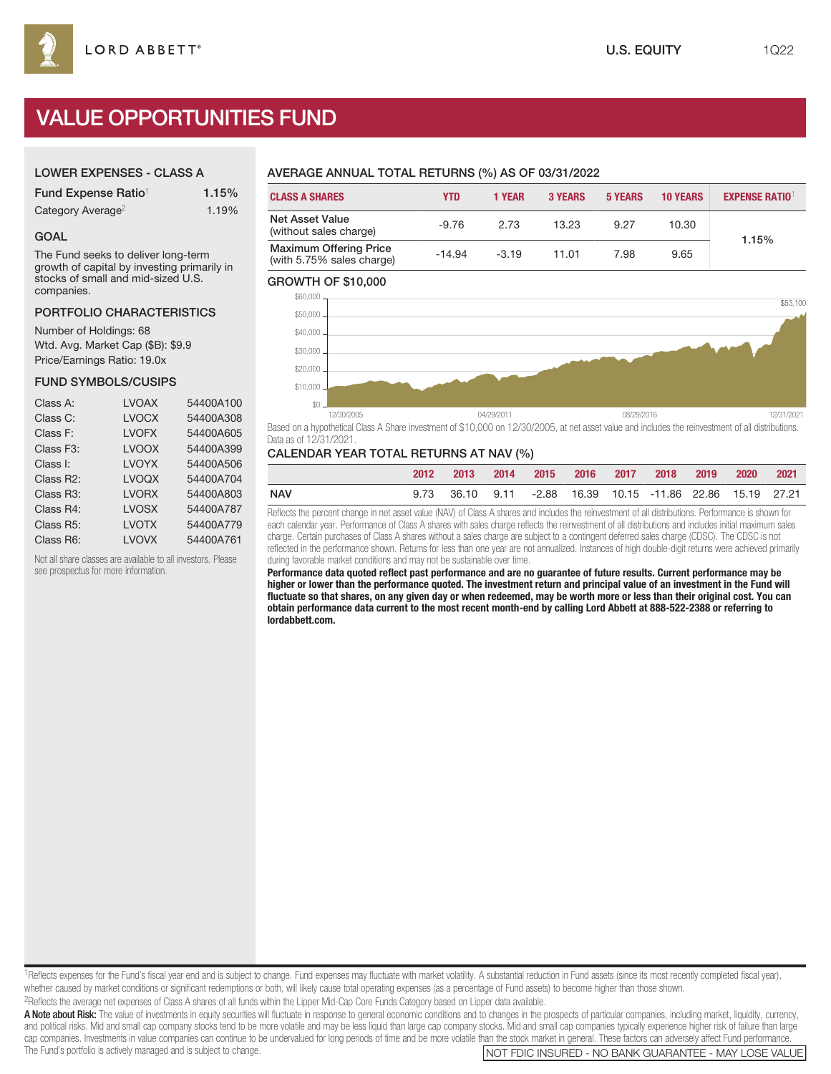# VALUE OPPORTUNITIES FUND

## LOWER EXPENSES - CLASS A

| Fund Expense Ratio <sup>1</sup> | 1.15% |
|---------------------------------|-------|
| Category Average <sup>2</sup>   | 1.19% |

#### GOAL

The Fund seeks to deliver long-term growth of capital by investing primarily in stocks of small and mid-sized U.S. companies.

#### PORTFOLIO CHARACTERISTICS

Number of Holdings: 68 Wtd. Avg. Market Cap (\$B): \$9.9 Price/Earnings Ratio: 19.0x

## FUND SYMBOLS/CUSIPS

| Class A:               | <b>LVOAX</b> | 54400A100 |
|------------------------|--------------|-----------|
| Class C:               | <b>LVOCX</b> | 54400A308 |
| Class F:               | <b>LVOFX</b> | 54400A605 |
| Class F3:              | <b>LVOOX</b> | 54400A399 |
| Class I:               | <b>LVOYX</b> | 54400A506 |
| Class R2:              | <b>LVOQX</b> | 54400A704 |
| Class R <sub>3</sub> : | <b>LVORX</b> | 54400A803 |
| Class R4:              | <b>LVOSX</b> | 54400A787 |
| Class R5:              | <b>LVOTX</b> | 54400A779 |
| Class R6:              | <b>LVOVX</b> | 54400A761 |
|                        |              |           |

Not all share classes are available to all investors. Please see prospectus for more information.

# AVERAGE ANNUAL TOTAL RETURNS (%) AS OF 03/31/2022

| <b>CLASS A SHARES</b>                                      | <b>YTD</b> | 1 YEAR  | <b>3 YEARS</b> | <b>5 YEARS</b> | <b>10 YEARS</b> | <b>EXPENSE RATIO1</b> |  |
|------------------------------------------------------------|------------|---------|----------------|----------------|-----------------|-----------------------|--|
| Net Asset Value<br>(without sales charge)                  | $-9.76$    | 2.73    | 13.23          | 9.27           | 10.30           | 1.15%                 |  |
| <b>Maximum Offering Price</b><br>(with 5.75% sales charge) | $-14.94$   | $-3.19$ | 11.01          | 7.98           | 9.65            |                       |  |

#### GROWTH OF \$10,000



Based on a hypothetical Class A Share investment of \$10,000 on 12/30/2005, at net asset value and includes the reinvestment of all distributions. Data as of 12/31/2021.

#### CALENDAR YEAR TOTAL RETURNS AT NAV (%)

|     | 2012 | $-2013$ |  |  | 2014 2015 2016 2017 2018 2019 2020 2021 |  |  |
|-----|------|---------|--|--|-----------------------------------------|--|--|
| NAV |      |         |  |  |                                         |  |  |

Reflects the percent change in net asset value (NAV) of Class A shares and includes the reinvestment of all distributions. Performance is shown for each calendar year. Performance of Class A shares with sales charge reflects the reinvestment of all distributions and includes initial maximum sales charge. Certain purchases of Class A shares without a sales charge are subject to a contingent deferred sales charge (CDSC). The CDSC is not reflected in the performance shown. Returns for less than one year are not annualized. Instances of high double-digit returns were achieved primarily during favorable market conditions and may not be sustainable over time.

**Performance data quoted reflect past performance and are no guarantee of future results. Current performance may be higher or lower than the performance quoted. The investment return and principal value of an investment in the Fund will fluctuate so that shares, on any given day or when redeemed, may be worth more or less than their original cost. You can obtain performance data current to the most recent month-end by calling Lord Abbett at 888-522-2388 or referring to lordabbett.com.**

<sup>1</sup>Reflects expenses for the Fund's fiscal year end and is subject to change. Fund expenses may fluctuate with market volatility. A substantial reduction in Fund assets (since its most recently completed fiscal year), whether caused by market conditions or significant redemptions or both, will likely cause total operating expenses (as a percentage of Fund assets) to become higher than those shown. 2Reflects the average net expenses of Class A shares of all funds within the Lipper Mid-Cap Core Funds Category based on Lipper data available.

A Note about Risk: The value of investments in equity securities will fluctuate in response to general economic conditions and to changes in the prospects of particular companies, including market, liquidity, currency, and political risks. Mid and small cap company stocks tend to be more volatile and may be less liquid than large cap company stocks. Mid and small cap companies typically experience higher risk of failure than large cap companies. Investments in value companies can continue to be undervalued for long periods of time and be more volatile than the stock market in general. These factors can adversely affect Fund performance.